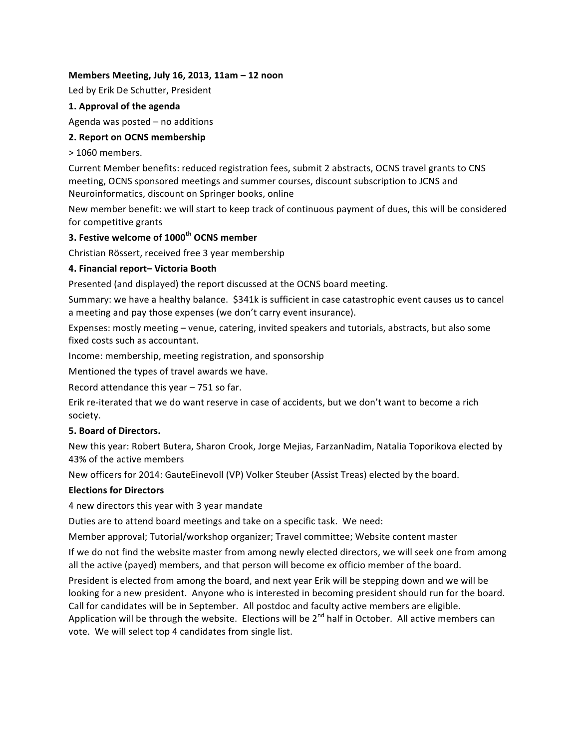## **Members Meeting, July 16, 2013, 11am – 12 noon**

Led by Erik De Schutter, President

## **1. Approval of the agenda**

Agenda was posted  $-$  no additions

## **2. Report on OCNS membership**

> 1060 members. 

Current Member benefits: reduced registration fees, submit 2 abstracts, OCNS travel grants to CNS meeting, OCNS sponsored meetings and summer courses, discount subscription to JCNS and Neuroinformatics, discount on Springer books, online

New member benefit: we will start to keep track of continuous payment of dues, this will be considered for competitive grants

# **3. Festive welcome of 1000th OCNS member**

Christian Rössert, received free 3 year membership

# **4. Financial report– Victoria Booth**

Presented (and displayed) the report discussed at the OCNS board meeting.

Summary: we have a healthy balance. \$341k is sufficient in case catastrophic event causes us to cancel a meeting and pay those expenses (we don't carry event insurance).

Expenses: mostly meeting – venue, catering, invited speakers and tutorials, abstracts, but also some fixed costs such as accountant.

Income: membership, meeting registration, and sponsorship

Mentioned the types of travel awards we have.

Record attendance this year  $-751$  so far.

Erik re-iterated that we do want reserve in case of accidents, but we don't want to become a rich society.

## **5. Board of Directors.**

New this year: Robert Butera, Sharon Crook, Jorge Mejias, FarzanNadim, Natalia Toporikova elected by 43% of the active members

New officers for 2014: GauteEinevoll (VP) Volker Steuber (Assist Treas) elected by the board.

## **Elections for Directors**

4 new directors this year with 3 year mandate

Duties are to attend board meetings and take on a specific task. We need:

Member approval; Tutorial/workshop organizer; Travel committee; Website content master

If we do not find the website master from among newly elected directors, we will seek one from among all the active (payed) members, and that person will become ex officio member of the board.

President is elected from among the board, and next year Erik will be stepping down and we will be looking for a new president. Anyone who is interested in becoming president should run for the board. Call for candidates will be in September. All postdoc and faculty active members are eligible. Application will be through the website. Elections will be  $2^{nd}$  half in October. All active members can vote. We will select top 4 candidates from single list.